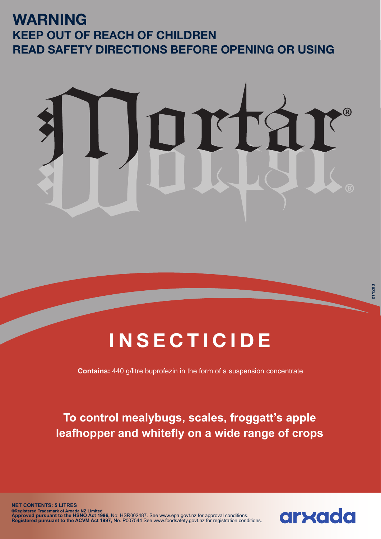## **WARNING KEEP OUT OF REACH OF CHILDREN READ SAFETY DIRECTIONS BEFORE OPENING OR USING**



## **INSECTICIDE**

**Contains:** 440 g/litre buprofezin in the form of a suspension concentrate

**To control mealybugs, scales, froggatt's apple leafhopper and whitefly on a wide range of crops**